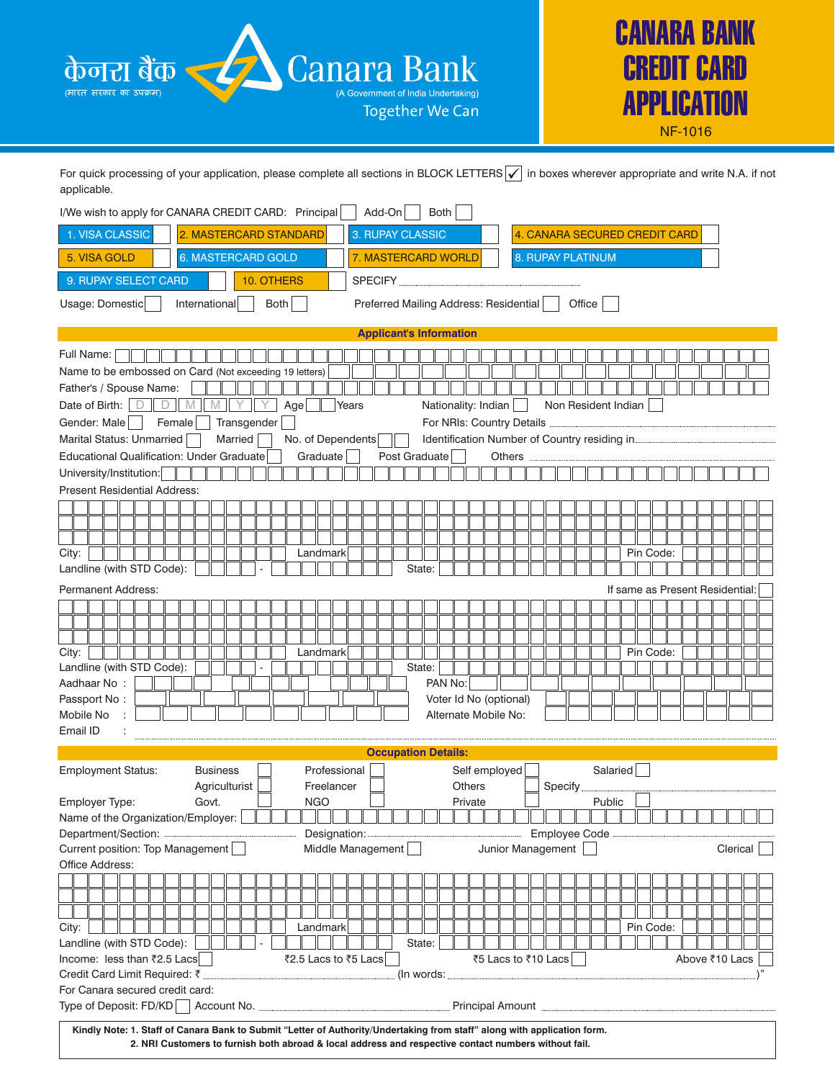



For quick processing of your application, please complete all sections in BLOCK LETTERS  $\boxed{\checkmark}$  in boxes wherever appropriate and write N.A. if not applicable.

| I/We wish to apply for CANARA CREDIT CARD: Principal                                                                     |                        |                      | Add-On           | Both                                         |                     |                     |                               |                                 |
|--------------------------------------------------------------------------------------------------------------------------|------------------------|----------------------|------------------|----------------------------------------------|---------------------|---------------------|-------------------------------|---------------------------------|
| 1. VISA CLASSIC                                                                                                          | 2. MASTERCARD STANDARD |                      | 3. RUPAY CLASSIC |                                              |                     |                     | 4. CANARA SECURED CREDIT CARD |                                 |
| 5. VISA GOLD                                                                                                             | 6. MASTERCARD GOLD     |                      |                  | 7. MASTERCARD WORLD                          |                     | 8. RUPAY PLATINUM   |                               |                                 |
| 9. RUPAY SELECT CARD                                                                                                     | 10. OTHERS             |                      | <b>SPECIFY</b>   |                                              |                     |                     |                               |                                 |
| Usage: Domestic<br>International                                                                                         | Both                   |                      |                  | Preferred Mailing Address: Residential       |                     | Office              |                               |                                 |
|                                                                                                                          |                        |                      |                  |                                              |                     |                     |                               |                                 |
|                                                                                                                          |                        |                      |                  | <b>Applicant's Information</b>               |                     |                     |                               |                                 |
| Full Name:                                                                                                               |                        |                      |                  |                                              |                     |                     |                               |                                 |
| Name to be embossed on Card (Not exceeding 19 letters)                                                                   |                        |                      |                  |                                              |                     |                     |                               |                                 |
| Father's / Spouse Name:                                                                                                  |                        |                      |                  |                                              |                     |                     |                               |                                 |
| Date of Birth:<br>$D$ $\parallel$<br>D<br>M<br>IVI                                                                       |                        | Age<br>Years         |                  | Nationality: Indian                          |                     | Non Resident Indian |                               |                                 |
| Gender: Male<br>Female                                                                                                   | Transgender            |                      |                  | For NRIs: Country Details                    |                     |                     |                               |                                 |
| Marital Status: Unmarried                                                                                                | Married                | No. of Dependents    |                  | Identification Number of Country residing in |                     |                     |                               |                                 |
| Educational Qualification: Under Graduate                                                                                |                        | Graduate             | Post Graduate    |                                              | Others              |                     |                               |                                 |
| University/Institution:                                                                                                  |                        |                      |                  |                                              |                     |                     |                               |                                 |
| <b>Present Residential Address:</b>                                                                                      |                        |                      |                  |                                              |                     |                     |                               |                                 |
|                                                                                                                          |                        |                      |                  |                                              |                     |                     |                               |                                 |
|                                                                                                                          |                        |                      |                  |                                              |                     |                     |                               |                                 |
| City:                                                                                                                    |                        | Landmark             |                  |                                              |                     |                     | Pin Code:                     |                                 |
| Landline (with STD Code):                                                                                                |                        |                      |                  | State:                                       |                     |                     |                               |                                 |
|                                                                                                                          |                        |                      |                  |                                              |                     |                     |                               |                                 |
| <b>Permanent Address:</b>                                                                                                |                        |                      |                  |                                              |                     |                     |                               | If same as Present Residential: |
|                                                                                                                          |                        |                      |                  |                                              |                     |                     |                               |                                 |
|                                                                                                                          |                        |                      |                  |                                              |                     |                     |                               |                                 |
| City:                                                                                                                    |                        | Landmark             |                  |                                              |                     |                     | Pin Code:                     |                                 |
| Landline (with STD Code):                                                                                                |                        |                      |                  | State:                                       |                     |                     |                               |                                 |
| Aadhaar No:                                                                                                              |                        |                      |                  | PAN No:                                      |                     |                     |                               |                                 |
| Passport No:                                                                                                             |                        |                      |                  | Voter Id No (optional)                       |                     |                     |                               |                                 |
| Mobile No                                                                                                                |                        |                      |                  | Alternate Mobile No:                         |                     |                     |                               |                                 |
| Email ID                                                                                                                 |                        |                      |                  |                                              |                     |                     |                               |                                 |
|                                                                                                                          |                        |                      |                  | <b>Occupation Details:</b>                   |                     |                     |                               |                                 |
| <b>Business</b><br><b>Employment Status:</b>                                                                             |                        | Professional         |                  | Self employed                                |                     |                     | Salaried                      |                                 |
| Agriculturist                                                                                                            |                        | Freelancer           |                  | <b>Others</b>                                |                     | Specify             |                               |                                 |
| Employer Type:<br>Govt.                                                                                                  |                        | <b>NGO</b>           |                  | Private                                      |                     | Public              |                               |                                 |
| Name of the Organization/Employer:                                                                                       |                        |                      |                  |                                              |                     |                     |                               |                                 |
| Department/Section:                                                                                                      |                        | Designation:         |                  |                                              |                     | Employee Code       |                               |                                 |
| Current position: Top Management                                                                                         |                        | Middle Management    |                  |                                              | Junior Management   |                     |                               | Clerical                        |
| Office Address:                                                                                                          |                        |                      |                  |                                              |                     |                     |                               |                                 |
|                                                                                                                          |                        |                      |                  |                                              |                     |                     |                               |                                 |
|                                                                                                                          |                        |                      |                  |                                              |                     |                     |                               |                                 |
|                                                                                                                          |                        |                      |                  |                                              |                     |                     |                               |                                 |
| City:                                                                                                                    |                        | Landmark             |                  |                                              |                     |                     | Pin Code:                     |                                 |
| Landline (with STD Code):                                                                                                |                        |                      |                  | State:                                       |                     |                     |                               |                                 |
| Income: less than ₹2.5 Lacs                                                                                              |                        | ₹2.5 Lacs to ₹5 Lacs |                  |                                              | ₹5 Lacs to ₹10 Lacs |                     |                               | Above ₹10 Lacs                  |
| Credit Card Limit Required: ₹                                                                                            |                        |                      |                  | (In words:                                   |                     |                     |                               |                                 |
| For Canara secured credit card:                                                                                          |                        |                      |                  |                                              |                     |                     |                               |                                 |
|                                                                                                                          |                        |                      |                  |                                              |                     |                     |                               |                                 |
| Kindly Note: 1. Staff of Canara Bank to Submit "Letter of Authority/Undertaking from staff" along with application form. |                        |                      |                  |                                              |                     |                     |                               |                                 |

**2. NRI Customers to furnish both abroad & local address and respective contact numbers without fail.**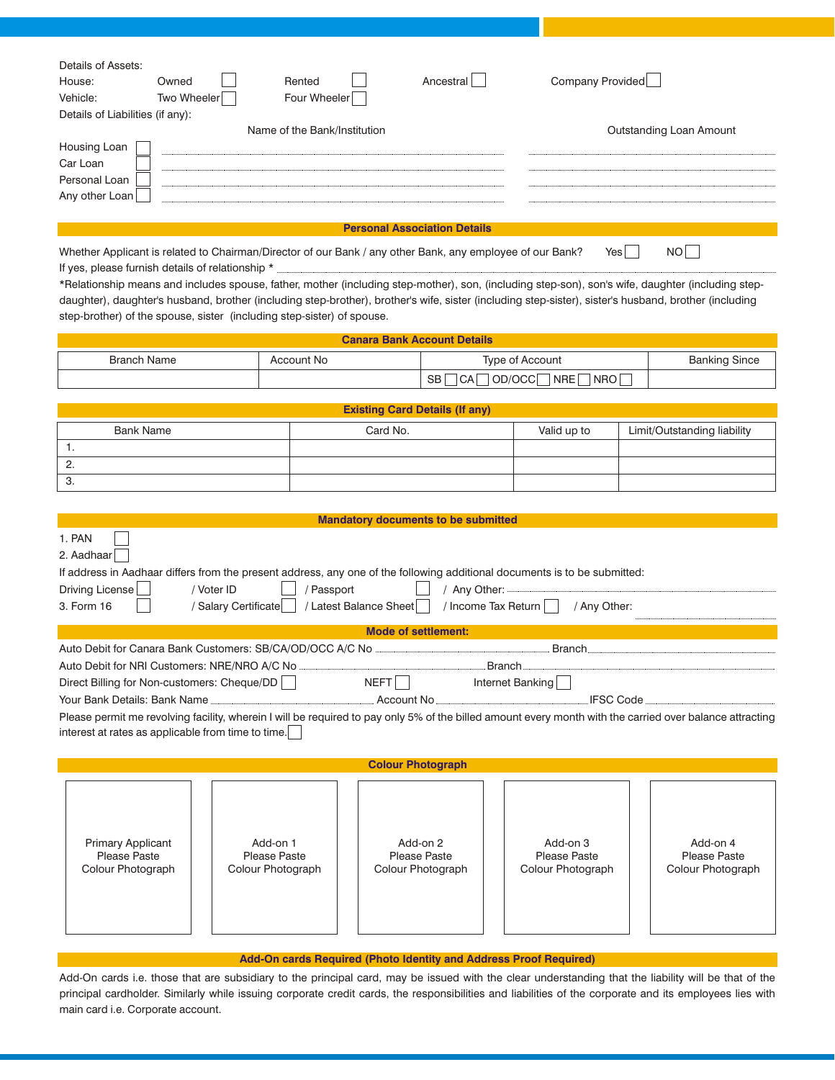| Details of Assets:               |             |                              |           |                         |
|----------------------------------|-------------|------------------------------|-----------|-------------------------|
| House:                           | Owned       | Rented                       | Ancestral | Company Provided        |
| Vehicle:                         | Two Wheeler | Four Wheeler                 |           |                         |
| Details of Liabilities (if any): |             |                              |           |                         |
|                                  |             | Name of the Bank/Institution |           | Outstanding Loan Amount |
| Housing Loan                     |             |                              |           |                         |
| Car Loan                         |             |                              |           |                         |
| Personal Loan                    |             |                              |           |                         |
| Any other Loan                   |             |                              |           |                         |
|                                  |             |                              |           |                         |

## **Personal Association Details**

| Whether Applicant is related to Chairman/Director of our Bank / any other Bank, any employee of our Bank? Yes $\Box$ NO |  |
|-------------------------------------------------------------------------------------------------------------------------|--|
|-------------------------------------------------------------------------------------------------------------------------|--|

If yes, please furnish details of relationship \* \*Relationship means and includes spouse, father, mother (including step-mother), son, (including step-son), son's wife, daughter (including stepdaughter), daughter's husband, brother (including step-brother), brother's wife, sister (including step-sister), sister's husband, brother (including step-brother) of the spouse, sister (including step-sister) of spouse.

| <b>Canara Bank Account Details</b> |            |                                                |                      |  |
|------------------------------------|------------|------------------------------------------------|----------------------|--|
| <b>Branch Name</b>                 | Account No | Type of Account                                | <b>Banking Since</b> |  |
|                                    |            | NRO<br>OD/OCC<br>CA<br><b>NRE</b><br><b>SB</b> |                      |  |

|           | <b>Existing Card Details (If any)</b> |             |                             |
|-----------|---------------------------------------|-------------|-----------------------------|
| Bank Name | Card No.                              | Valid up to | Limit/Outstanding liability |
|           |                                       |             |                             |
| <u>.</u>  |                                       |             |                             |
| - 3.      |                                       |             |                             |

|                                                                                                                                                                                                                                      |                                 | <b>Mandatory documents to be submitted</b> |                                         |                                 |
|--------------------------------------------------------------------------------------------------------------------------------------------------------------------------------------------------------------------------------------|---------------------------------|--------------------------------------------|-----------------------------------------|---------------------------------|
| 1. PAN                                                                                                                                                                                                                               |                                 |                                            |                                         |                                 |
| 2. Aadhaar                                                                                                                                                                                                                           |                                 |                                            |                                         |                                 |
| If address in Aadhaar differs from the present address, any one of the following additional documents is to be submitted:                                                                                                            |                                 |                                            |                                         |                                 |
| Driving License                                                                                                                                                                                                                      | / Voter ID<br>/ Passport        |                                            |                                         |                                 |
| 3. Form 16                                                                                                                                                                                                                           | / Salary Certificate            | / Latest Balance Sheet                     | / Income Tax Return    <br>/ Any Other: |                                 |
|                                                                                                                                                                                                                                      |                                 | <b>Mode of settlement:</b>                 |                                         |                                 |
| Auto Debit for Canara Bank Customers: SB/CA/OD/OCC A/C No <b>Canadian Community Control of Canadian Control Control Control Control Control Control Control Control Control Control Control Control Control Control Control Cont</b> |                                 |                                            |                                         |                                 |
|                                                                                                                                                                                                                                      |                                 |                                            | <u>Branch [</u>                         |                                 |
| Direct Billing for Non-customers: Cheque/DD                                                                                                                                                                                          |                                 | NEFT Internet Banking                      |                                         |                                 |
| Your Bank Details: Bank Name [19] North Account No Communication of Account No Communication of North Account No                                                                                                                     |                                 |                                            |                                         | <b>IFSC Code</b>                |
| Please permit me revolving facility, wherein I will be required to pay only 5% of the billed amount every month with the carried over balance attracting                                                                             |                                 |                                            |                                         |                                 |
| interest at rates as applicable from time to time.                                                                                                                                                                                   |                                 |                                            |                                         |                                 |
|                                                                                                                                                                                                                                      |                                 |                                            |                                         |                                 |
|                                                                                                                                                                                                                                      |                                 | <b>Colour Photograph</b>                   |                                         |                                 |
|                                                                                                                                                                                                                                      |                                 |                                            |                                         |                                 |
|                                                                                                                                                                                                                                      |                                 |                                            |                                         |                                 |
|                                                                                                                                                                                                                                      |                                 |                                            |                                         |                                 |
|                                                                                                                                                                                                                                      |                                 |                                            |                                         |                                 |
| <b>Primary Applicant</b><br><b>Please Paste</b>                                                                                                                                                                                      | Add-on 1<br><b>Please Paste</b> | Add-on 2<br><b>Please Paste</b>            | Add-on 3<br>Please Paste                | Add-on 4<br><b>Please Paste</b> |
| Colour Photograph                                                                                                                                                                                                                    | Colour Photograph               | Colour Photograph                          | Colour Photograph                       | Colour Photograph               |
|                                                                                                                                                                                                                                      |                                 |                                            |                                         |                                 |
|                                                                                                                                                                                                                                      |                                 |                                            |                                         |                                 |
|                                                                                                                                                                                                                                      |                                 |                                            |                                         |                                 |
|                                                                                                                                                                                                                                      |                                 |                                            |                                         |                                 |

## **Add-On cards Required (Photo Identity and Address Proof Required)**

Add-On cards i.e. those that are subsidiary to the principal card, may be issued with the clear understanding that the liability will be that of the principal cardholder. Similarly while issuing corporate credit cards, the responsibilities and liabilities of the corporate and its employees lies with main card i.e. Corporate account.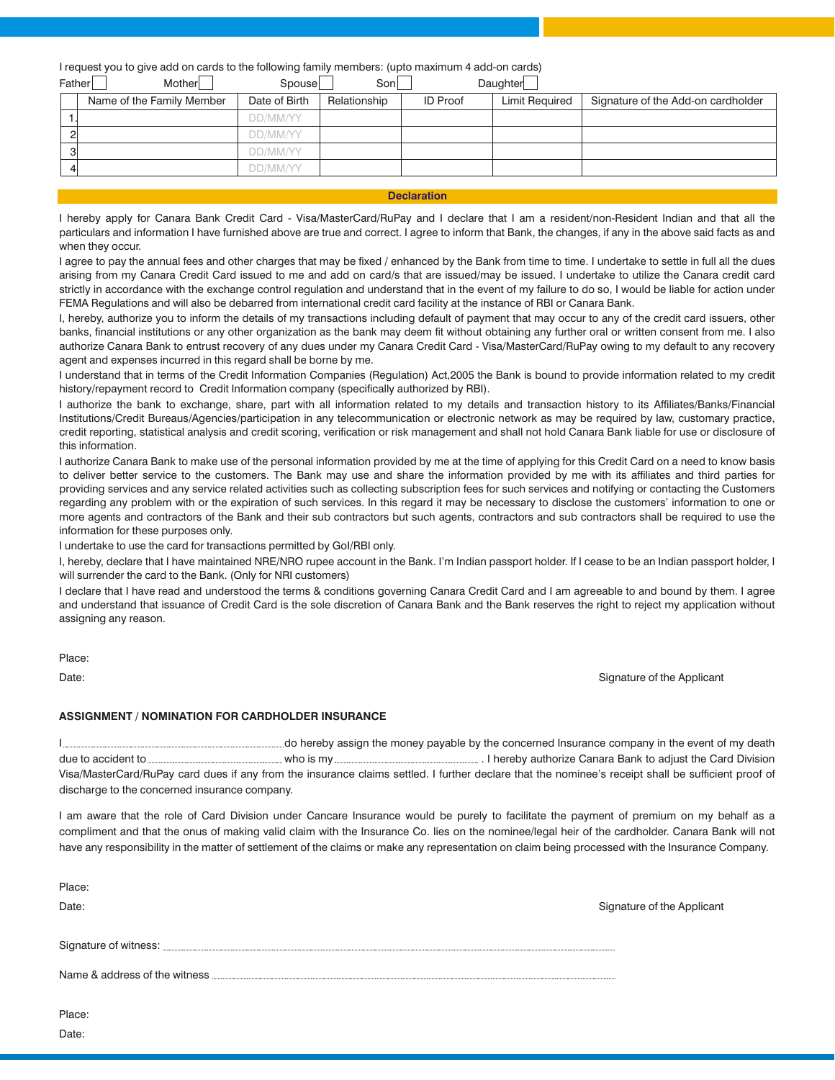I request you to give add on cards to the following family members: (upto maximum 4 add-on cards)

| Father         | Mother                    | Spouse        | Sonl         |                 | Daughter              |                                    |
|----------------|---------------------------|---------------|--------------|-----------------|-----------------------|------------------------------------|
|                | Name of the Family Member | Date of Birth | Relationship | <b>ID Proof</b> | <b>Limit Required</b> | Signature of the Add-on cardholder |
|                |                           | DD/MM/YY      |              |                 |                       |                                    |
| $\overline{2}$ |                           | DD/MM/YY      |              |                 |                       |                                    |
| -31            |                           | DD/MM/YY      |              |                 |                       |                                    |
|                |                           | DD/MM/YY      |              |                 |                       |                                    |
|                |                           |               |              |                 |                       |                                    |

## **Declaration**

I hereby apply for Canara Bank Credit Card - Visa/MasterCard/RuPay and I declare that I am a resident/non-Resident Indian and that all the particulars and information I have furnished above are true and correct. I agree to inform that Bank, the changes, if any in the above said facts as and when they occur.

I agree to pay the annual fees and other charges that may be fixed / enhanced by the Bank from time to time. I undertake to settle in full all the dues arising from my Canara Credit Card issued to me and add on card/s that are issued/may be issued. I undertake to utilize the Canara credit card strictly in accordance with the exchange control regulation and understand that in the event of my failure to do so, I would be liable for action under FEMA Regulations and will also be debarred from international credit card facility at the instance of RBI or Canara Bank.

I, hereby, authorize you to inform the details of my transactions including default of payment that may occur to any of the credit card issuers, other banks, financial institutions or any other organization as the bank may deem fit without obtaining any further oral or written consent from me. I also authorize Canara Bank to entrust recovery of any dues under my Canara Credit Card - Visa/MasterCard/RuPay owing to my default to any recovery agent and expenses incurred in this regard shall be borne by me.

I understand that in terms of the Credit Information Companies (Regulation) Act,2005 the Bank is bound to provide information related to my credit history/repayment record to Credit Information company (specifically authorized by RBI).

I authorize the bank to exchange, share, part with all information related to my details and transaction history to its Affiliates/Banks/Financial Institutions/Credit Bureaus/Agencies/participation in any telecommunication or electronic network as may be required by law, customary practice, credit reporting, statistical analysis and credit scoring, verification or risk management and shall not hold Canara Bank liable for use or disclosure of this information.

I authorize Canara Bank to make use of the personal information provided by me at the time of applying for this Credit Card on a need to know basis to deliver better service to the customers. The Bank may use and share the information provided by me with its affiliates and third parties for providing services and any service related activities such as collecting subscription fees for such services and notifying or contacting the Customers regarding any problem with or the expiration of such services. In this regard it may be necessary to disclose the customers' information to one or more agents and contractors of the Bank and their sub contractors but such agents, contractors and sub contractors shall be required to use the information for these purposes only.

I undertake to use the card for transactions permitted by GoI/RBI only.

I, hereby, declare that I have maintained NRE/NRO rupee account in the Bank. I'm Indian passport holder. If I cease to be an Indian passport holder, I will surrender the card to the Bank. (Only for NRI customers)

I declare that I have read and understood the terms & conditions governing Canara Credit Card and I am agreeable to and bound by them. I agree and understand that issuance of Credit Card is the sole discretion of Canara Bank and the Bank reserves the right to reject my application without assigning any reason.

Place:

Date:

Date: Signature of the Applicant

## **ASSIGNMENT / NOMINATION FOR CARDHOLDER INSURANCE**

I do hereby assign the money payable by the concerned Insurance company in the event of my death due to accident to **who is my** who is my **who is my** ... I hereby authorize Canara Bank to adjust the Card Division Visa/MasterCard/RuPay card dues if any from the insurance claims settled. I further declare that the nominee's receipt shall be sufficient proof of discharge to the concerned insurance company.

I am aware that the role of Card Division under Cancare Insurance would be purely to facilitate the payment of premium on my behalf as a compliment and that the onus of making valid claim with the Insurance Co. lies on the nominee/legal heir of the cardholder. Canara Bank will not have any responsibility in the matter of settlement of the claims or make any representation on claim being processed with the Insurance Company.

| Place:<br>Date:               | Signature of the Applicant |
|-------------------------------|----------------------------|
|                               |                            |
| Name & address of the witness |                            |
| Place:                        |                            |